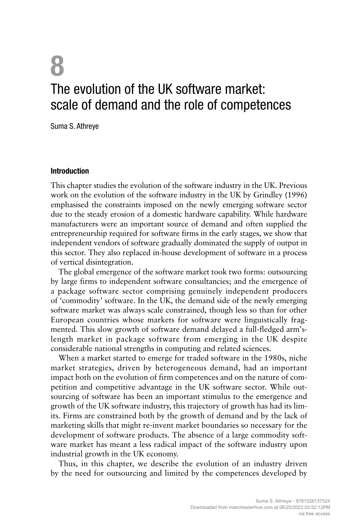# **8** The evolution of the UK software market: scale of demand and the role of competences

Suma S. Athreye

# **Introduction**

This chapter studies the evolution of the software industry in the UK. Previous work on the evolution of the software industry in the UK by Grindley (1996) emphasised the constraints imposed on the newly emerging software sector due to the steady erosion of a domestic hardware capability. While hardware manufacturers were an important source of demand and often supplied the entrepreneurship required for software firms in the early stages, we show that independent vendors of software gradually dominated the supply of output in this sector. They also replaced in-house development of software in a process of vertical disintegration.

The global emergence of the software market took two forms: outsourcing by large firms to independent software consultancies; and the emergence of a package software sector comprising genuinely independent producers of 'commodity' software. In the UK, the demand side of the newly emerging software market was always scale constrained, though less so than for other European countries whose markets for software were linguistically fragmented. This slow growth of software demand delayed a full-fledged arm'slength market in package software from emerging in the UK despite considerable national strengths in computing and related sciences.

When a market started to emerge for traded software in the 1980s, niche market strategies, driven by heterogeneous demand, had an important impact both on the evolution of firm competences and on the nature of competition and competitive advantage in the UK software sector. While outsourcing of software has been an important stimulus to the emergence and growth of the UK software industry, this trajectory of growth has had its limits. Firms are constrained both by the growth of demand and by the lack of marketing skills that might re-invent market boundaries so necessary for the development of software products. The absence of a large commodity software market has meant a less radical impact of the software industry upon industrial growth in the UK economy.

Thus, in this chapter, we describe the evolution of an industry driven by the need for outsourcing and limited by the competences developed by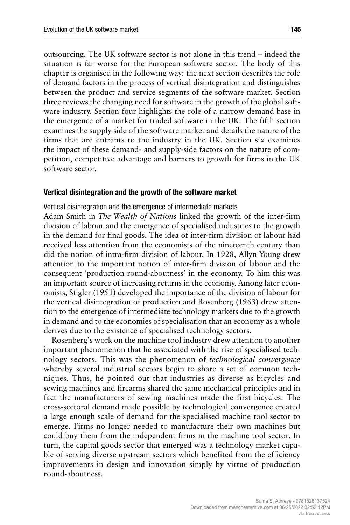outsourcing. The UK software sector is not alone in this trend – indeed the situation is far worse for the European software sector. The body of this chapter is organised in the following way: the next section describes the role of demand factors in the process of vertical disintegration and distinguishes between the product and service segments of the software market. Section three reviews the changing need for software in the growth of the global software industry. Section four highlights the role of a narrow demand base in the emergence of a market for traded software in the UK. The fifth section examines the supply side of the software market and details the nature of the firms that are entrants to the industry in the UK. Section six examines the impact of these demand- and supply-side factors on the nature of competition, competitive advantage and barriers to growth for firms in the UK software sector.

#### **Vertical disintegration and the growth of the software market**

## Vertical disintegration and the emergence of intermediate markets

Adam Smith in *The Wealth of Nations* linked the growth of the inter-firm division of labour and the emergence of specialised industries to the growth in the demand for final goods. The idea of inter-firm division of labour had received less attention from the economists of the nineteenth century than did the notion of intra-firm division of labour. In 1928, Allyn Young drew attention to the important notion of inter-firm division of labour and the consequent 'production round-aboutness' in the economy. To him this was an important source of increasing returns in the economy. Among later economists, Stigler (1951) developed the importance of the division of labour for the vertical disintegration of production and Rosenberg (1963) drew attention to the emergence of intermediate technology markets due to the growth in demand and to the economies of specialisation that an economy as a whole derives due to the existence of specialised technology sectors.

Rosenberg's work on the machine tool industry drew attention to another important phenomenon that he associated with the rise of specialised technology sectors. This was the phenomenon of *technological convergence* whereby several industrial sectors begin to share a set of common techniques. Thus, he pointed out that industries as diverse as bicycles and sewing machines and firearms shared the same mechanical principles and in fact the manufacturers of sewing machines made the first bicycles. The cross-sectoral demand made possible by technological convergence created a large enough scale of demand for the specialised machine tool sector to emerge. Firms no longer needed to manufacture their own machines but could buy them from the independent firms in the machine tool sector. In turn, the capital goods sector that emerged was a technology market capable of serving diverse upstream sectors which benefited from the efficiency improvements in design and innovation simply by virtue of production round-aboutness.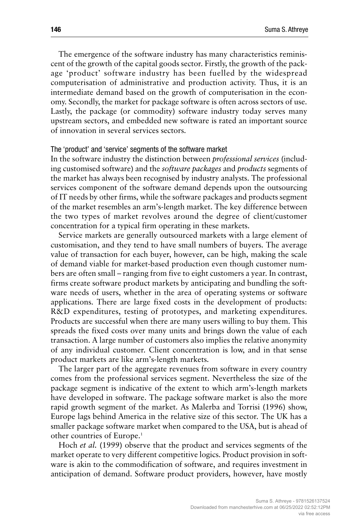The emergence of the software industry has many characteristics reminiscent of the growth of the capital goods sector. Firstly, the growth of the package 'product' software industry has been fuelled by the widespread computerisation of administrative and production activity. Thus, it is an intermediate demand based on the growth of computerisation in the economy. Secondly, the market for package software is often across sectors of use. Lastly, the package (or commodity) software industry today serves many upstream sectors, and embedded new software is rated an important source of innovation in several services sectors.

## The 'product' and 'service' segments of the software market

In the software industry the distinction between *professional services* (including customised software) and the *software packages* and *products* segments of the market has always been recognised by industry analysts. The professional services component of the software demand depends upon the outsourcing of IT needs by other firms, while the software packages and products segment of the market resembles an arm's-length market. The key difference between the two types of market revolves around the degree of client/customer concentration for a typical firm operating in these markets.

Service markets are generally outsourced markets with a large element of customisation, and they tend to have small numbers of buyers. The average value of transaction for each buyer, however, can be high, making the scale of demand viable for market-based production even though customer numbers are often small – ranging from five to eight customers a year. In contrast, firms create software product markets by anticipating and bundling the software needs of users, whether in the area of operating systems or software applications. There are large fixed costs in the development of products: R&D expenditures, testing of prototypes, and marketing expenditures. Products are successful when there are many users willing to buy them. This spreads the fixed costs over many units and brings down the value of each transaction. A large number of customers also implies the relative anonymity of any individual customer. Client concentration is low, and in that sense product markets are like arm's-length markets.

The larger part of the aggregate revenues from software in every country comes from the professional services segment. Nevertheless the size of the package segment is indicative of the extent to which arm's-length markets have developed in software. The package software market is also the more rapid growth segment of the market. As Malerba and Torrisi (1996) show, Europe lags behind America in the relative size of this sector. The UK has a smaller package software market when compared to the USA, but is ahead of other countries of Europe.1

Hoch *et al.* (1999) observe that the product and services segments of the market operate to very different competitive logics. Product provision in software is akin to the commodification of software, and requires investment in anticipation of demand. Software product providers, however, have mostly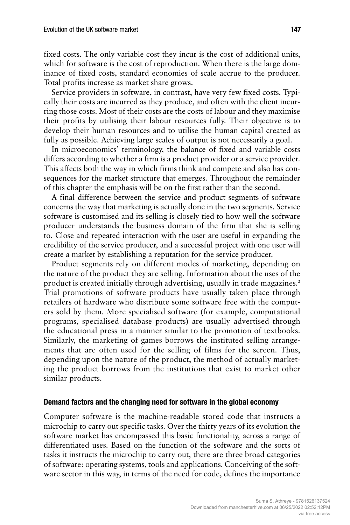fixed costs. The only variable cost they incur is the cost of additional units, which for software is the cost of reproduction. When there is the large dominance of fixed costs, standard economies of scale accrue to the producer. Total profits increase as market share grows.

Service providers in software, in contrast, have very few fixed costs. Typically their costs are incurred as they produce, and often with the client incurring those costs. Most of their costs are the costs of labour and they maximise their profits by utilising their labour resources fully. Their objective is to develop their human resources and to utilise the human capital created as fully as possible. Achieving large scales of output is not necessarily a goal.

In microeconomics' terminology, the balance of fixed and variable costs differs according to whether a firm is a product provider or a service provider. This affects both the way in which firms think and compete and also has consequences for the market structure that emerges. Throughout the remainder of this chapter the emphasis will be on the first rather than the second.

A final difference between the service and product segments of software concerns the way that marketing is actually done in the two segments. Service software is customised and its selling is closely tied to how well the software producer understands the business domain of the firm that she is selling to. Close and repeated interaction with the user are useful in expanding the credibility of the service producer, and a successful project with one user will create a market by establishing a reputation for the service producer.

Product segments rely on different modes of marketing, depending on the nature of the product they are selling. Information about the uses of the product is created initially through advertising, usually in trade magazines.<sup>2</sup> Trial promotions of software products have usually taken place through retailers of hardware who distribute some software free with the computers sold by them. More specialised software (for example, computational programs, specialised database products) are usually advertised through the educational press in a manner similar to the promotion of textbooks. Similarly, the marketing of games borrows the instituted selling arrangements that are often used for the selling of films for the screen. Thus, depending upon the nature of the product, the method of actually marketing the product borrows from the institutions that exist to market other similar products.

#### **Demand factors and the changing need for software in the global economy**

Computer software is the machine-readable stored code that instructs a microchip to carry out specific tasks. Over the thirty years of its evolution the software market has encompassed this basic functionality, across a range of differentiated uses. Based on the function of the software and the sorts of tasks it instructs the microchip to carry out, there are three broad categories of software: operating systems, tools and applications. Conceiving of the software sector in this way, in terms of the need for code, defines the importance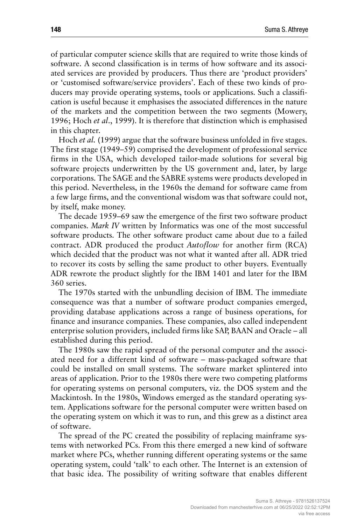of particular computer science skills that are required to write those kinds of software. A second classification is in terms of how software and its associated services are provided by producers. Thus there are 'product providers' or 'customised software/service providers'. Each of these two kinds of producers may provide operating systems, tools or applications. Such a classification is useful because it emphasises the associated differences in the nature of the markets and the competition between the two segments (Mowery, 1996; Hoch *et al*., 1999). It is therefore that distinction which is emphasised in this chapter.

Hoch *et al.* (1999) argue that the software business unfolded in five stages. The first stage (1949–59) comprised the development of professional service firms in the USA, which developed tailor-made solutions for several big software projects underwritten by the US government and, later, by large corporations. The SAGE and the SABRE systems were products developed in this period. Nevertheless, in the 1960s the demand for software came from a few large firms, and the conventional wisdom was that software could not, by itself, make money.

The decade 1959–69 saw the emergence of the first two software product companies. *Mark IV* written by Informatics was one of the most successful software products. The other software product came about due to a failed contract. ADR produced the product *Autoflow* for another firm (RCA) which decided that the product was not what it wanted after all. ADR tried to recover its costs by selling the same product to other buyers. Eventually ADR rewrote the product slightly for the IBM 1401 and later for the IBM 360 series.

The 1970s started with the unbundling decision of IBM. The immediate consequence was that a number of software product companies emerged, providing database applications across a range of business operations, for finance and insurance companies. These companies, also called independent enterprise solution providers, included firms like SAP, BAAN and Oracle – all established during this period.

The 1980s saw the rapid spread of the personal computer and the associated need for a different kind of software – mass-packaged software that could be installed on small systems. The software market splintered into areas of application. Prior to the 1980s there were two competing platforms for operating systems on personal computers, viz. the DOS system and the Mackintosh. In the 1980s, Windows emerged as the standard operating system. Applications software for the personal computer were written based on the operating system on which it was to run, and this grew as a distinct area of software.

The spread of the PC created the possibility of replacing mainframe systems with networked PCs. From this there emerged a new kind of software market where PCs, whether running different operating systems or the same operating system, could 'talk' to each other. The Internet is an extension of that basic idea. The possibility of writing software that enables different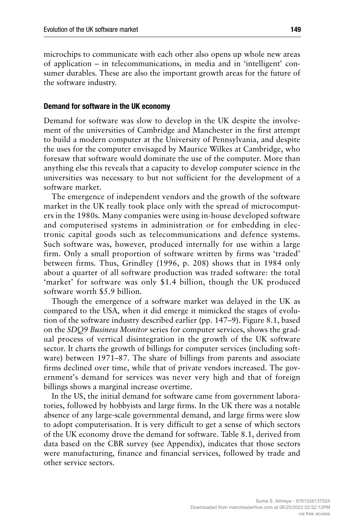microchips to communicate with each other also opens up whole new areas of application – in telecommunications, in media and in 'intelligent' consumer durables. These are also the important growth areas for the future of the software industry.

#### **Demand for software in the UK economy**

Demand for software was slow to develop in the UK despite the involvement of the universities of Cambridge and Manchester in the first attempt to build a modern computer at the University of Pennsylvania, and despite the uses for the computer envisaged by Maurice Wilkes at Cambridge, who foresaw that software would dominate the use of the computer. More than anything else this reveals that a capacity to develop computer science in the universities was necessary to but not sufficient for the development of a software market.

The emergence of independent vendors and the growth of the software market in the UK really took place only with the spread of microcomputers in the 1980s. Many companies were using in-house developed software and computerised systems in administration or for embedding in electronic capital goods such as telecommunications and defence systems. Such software was, however, produced internally for use within a large firm. Only a small proportion of software written by firms was 'traded' between firms. Thus, Grindley (1996, p. 208) shows that in 1984 only about a quarter of all software production was traded software: the total 'market' for software was only \$1.4 billion, though the UK produced software worth \$5.9 billion.

Though the emergence of a software market was delayed in the UK as compared to the USA, when it did emerge it mimicked the stages of evolution of the software industry described earlier (pp. 147–9). Figure 8.1, based on the *SDQ9 Business Monitor* series for computer services, shows the gradual process of vertical disintegration in the growth of the UK software sector. It charts the growth of billings for computer services (including software) between 1971–87. The share of billings from parents and associate firms declined over time, while that of private vendors increased. The government's demand for services was never very high and that of foreign billings shows a marginal increase overtime.

In the US, the initial demand for software came from government laboratories, followed by hobbyists and large firms. In the UK there was a notable absence of any large-scale governmental demand, and large firms were slow to adopt computerisation. It is very difficult to get a sense of which sectors of the UK economy drove the demand for software. Table 8.1, derived from data based on the CBR survey (see Appendix), indicates that those sectors were manufacturing, finance and financial services, followed by trade and other service sectors.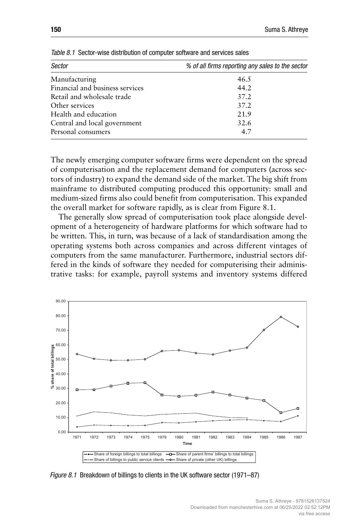| Sector                          | % of all firms reporting any sales to the sector |  |  |  |
|---------------------------------|--------------------------------------------------|--|--|--|
| Manufacturing                   | 46.5                                             |  |  |  |
| Financial and business services | 44.2                                             |  |  |  |
| Retail and wholesale trade      | 37.2                                             |  |  |  |
| Other services                  | 37.2                                             |  |  |  |
| Health and education            | 21.9                                             |  |  |  |
| Central and local government    | 32.6                                             |  |  |  |
| Personal consumers              | 4.7                                              |  |  |  |

*Table 8.1* Sector-wise distribution of computer software and services sales

The newly emerging computer software firms were dependent on the spread of computerisation and the replacement demand for computers (across sectors of industry) to expand the demand side of the market. The big shift from mainframe to distributed computing produced this opportunity: small and medium-sized firms also could benefit from computerisation. This expanded the overall market for software rapidly, as is clear from Figure 8.1.

The generally slow spread of computerisation took place alongside development of a heterogeneity of hardware platforms for which software had to be written. This, in turn, was because of a lack of standardisation among the operating systems both across companies and across different vintages of computers from the same manufacturer. Furthermore, industrial sectors differed in the kinds of software they needed for computerising their administrative tasks: for example, payroll systems and inventory systems differed



*Figure 8.1* Breakdown of billings to clients in the UK software sector (1971–87)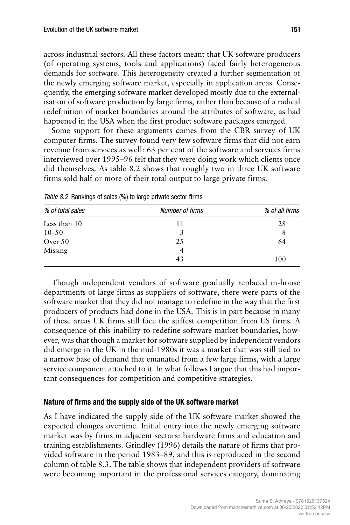across industrial sectors. All these factors meant that UK software producers (of operating systems, tools and applications) faced fairly heterogeneous demands for software. This heterogeneity created a further segmentation of the newly emerging software market, especially in application areas. Consequently, the emerging software market developed mostly due to the externalisation of software production by large firms, rather than because of a radical redefinition of market boundaries around the attributes of software, as had happened in the USA when the first product software packages emerged.

Some support for these arguments comes from the CBR survey of UK computer firms. The survey found very few software firms that did not earn revenue from services as well: 63 per cent of the software and services firms interviewed over 1995–96 felt that they were doing work which clients once did themselves. As table 8.2 shows that roughly two in three UK software firms sold half or more of their total output to large private firms.

| % of total sales | Number of firms | % of all firms |  |
|------------------|-----------------|----------------|--|
| Less than 10     | 11              | 28             |  |
| $10 - 50$        |                 | 8              |  |
| Over 50          | 25              | 64             |  |
| Missing          |                 |                |  |
|                  | 43              | 100            |  |

*Table 8.2* Rankings of sales (%) to large private sector firms

Though independent vendors of software gradually replaced in-house departments of large firms as suppliers of software, there were parts of the software market that they did not manage to redefine in the way that the first producers of products had done in the USA. This is in part because in many of these areas UK firms still face the stiffest competition from US firms. A consequence of this inability to redefine software market boundaries, however, was that though a market for software supplied by independent vendors did emerge in the UK in the mid-1980s it was a market that was still tied to a narrow base of demand that emanated from a few large firms, with a large service component attached to it. In what follows I argue that this had important consequences for competition and competitive strategies.

# **Nature of firms and the supply side of the UK software market**

As I have indicated the supply side of the UK software market showed the expected changes overtime. Initial entry into the newly emerging software market was by firms in adjacent sectors: hardware firms and education and training establishments. Grindley (1996) details the nature of firms that provided software in the period 1983–89, and this is reproduced in the second column of table 8.3. The table shows that independent providers of software were becoming important in the professional services category, dominating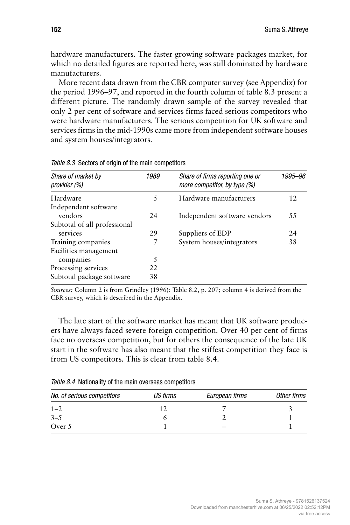hardware manufacturers. The faster growing software packages market, for which no detailed figures are reported here, was still dominated by hardware manufacturers.

More recent data drawn from the CBR computer survey (see Appendix) for the period 1996–97, and reported in the fourth column of table 8.3 present a different picture. The randomly drawn sample of the survey revealed that only 2 per cent of software and services firms faced serious competitors who were hardware manufacturers. The serious competition for UK software and services firms in the mid-1990s came more from independent software houses and system houses/integrators.

| Share of market by<br>provider (%) | 1989 | Share of firms reporting one or<br>more competitor, by type (%) | 1995–96 |
|------------------------------------|------|-----------------------------------------------------------------|---------|
| Hardware                           | 5    | Hardware manufacturers                                          | 12      |
| Independent software               |      |                                                                 |         |
| vendors                            | 24   | Independent software vendors                                    | 55      |
| Subtotal of all professional       |      |                                                                 |         |
| services                           | 29   | Suppliers of EDP                                                | 24      |
| Training companies                 | 7    | System houses/integrators                                       | 38      |
| Facilities management              |      |                                                                 |         |
| companies                          | 5    |                                                                 |         |
| Processing services                | 22.  |                                                                 |         |
| Subtotal package software          | 38   |                                                                 |         |

*Table 8.3* Sectors of origin of the main competitors

*Sources:* Column 2 is from Grindley (1996): Table 8.2, p. 207; column 4 is derived from the CBR survey, which is described in the Appendix.

The late start of the software market has meant that UK software producers have always faced severe foreign competition. Over 40 per cent of firms face no overseas competition, but for others the consequence of the late UK start in the software has also meant that the stiffest competition they face is from US competitors. This is clear from table 8.4.

| No. of serious competitors | US firms | European firms | Other firms |
|----------------------------|----------|----------------|-------------|
| $1 - 2$                    |          |                |             |
| $3 - 5$                    |          |                |             |
| Over 5                     |          |                |             |

*Table 8.4* Nationality of the main overseas competitors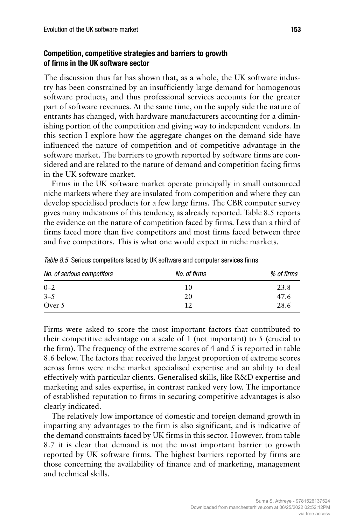# **Competition, competitive strategies and barriers to growth of firms in the UK software sector**

The discussion thus far has shown that, as a whole, the UK software industry has been constrained by an insufficiently large demand for homogenous software products, and thus professional services accounts for the greater part of software revenues. At the same time, on the supply side the nature of entrants has changed, with hardware manufacturers accounting for a diminishing portion of the competition and giving way to independent vendors. In this section I explore how the aggregate changes on the demand side have influenced the nature of competition and of competitive advantage in the software market. The barriers to growth reported by software firms are considered and are related to the nature of demand and competition facing firms in the UK software market.

Firms in the UK software market operate principally in small outsourced niche markets where they are insulated from competition and where they can develop specialised products for a few large firms. The CBR computer survey gives many indications of this tendency, as already reported. Table 8.5 reports the evidence on the nature of competition faced by firms. Less than a third of firms faced more than five competitors and most firms faced between three and five competitors. This is what one would expect in niche markets.

| No. of serious competitors | No. of firms | % of firms |  |
|----------------------------|--------------|------------|--|
| $0 - 2$                    | 10           | 23.8       |  |
| $3 - 5$                    | 20           | 47.6       |  |
| Over $5$                   | 12           | 28.6       |  |

*Table 8.5* Serious competitors faced by UK software and computer services firms

Firms were asked to score the most important factors that contributed to their competitive advantage on a scale of 1 (not important) to 5 (crucial to the firm). The frequency of the extreme scores of 4 and 5 is reported in table 8.6 below. The factors that received the largest proportion of extreme scores across firms were niche market specialised expertise and an ability to deal effectively with particular clients. Generalised skills, like R&D expertise and marketing and sales expertise, in contrast ranked very low. The importance of established reputation to firms in securing competitive advantages is also clearly indicated.

The relatively low importance of domestic and foreign demand growth in imparting any advantages to the firm is also significant, and is indicative of the demand constraints faced by UK firms in this sector. However, from table 8.7 it is clear that demand is not the most important barrier to growth reported by UK software firms. The highest barriers reported by firms are those concerning the availability of finance and of marketing, management and technical skills.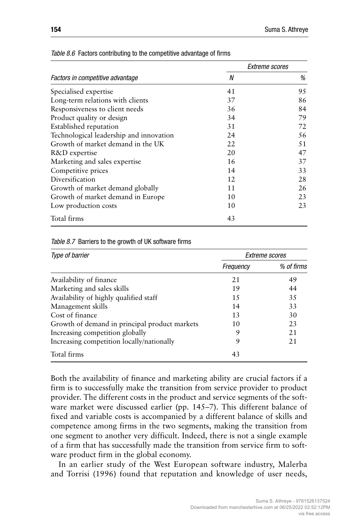*Extreme scores*

| Suma S. Athreye - 9781526137524                             |
|-------------------------------------------------------------|
| Downloaded from manchesterhive.com at 06/25/2022 02:52:12PM |
| via free access                                             |
|                                                             |

*Table 8.7* Barriers to the growth of UK software firms

Total firms 43

| Type of barrier                               | Extreme scores |            |  |
|-----------------------------------------------|----------------|------------|--|
|                                               | Frequency      | % of firms |  |
| Availability of finance                       | 21             | 49         |  |
| Marketing and sales skills                    | 19             | 44         |  |
| Availability of highly qualified staff        | 15             | 35         |  |
| Management skills                             | 14             | 33         |  |
| Cost of finance                               | 13             | 30         |  |
| Growth of demand in principal product markets | 10             | 23         |  |
| Increasing competition globally               | 9              | 21         |  |
| Increasing competition locally/nationally     | 9              | 21         |  |
| Total firms                                   | 43             |            |  |

*Table 8.6* Factors contributing to the competitive advantage of firms

*Factors in competitive advantage N %* Specialised expertise 41 and 95 Long-term relations with clients 37 86 Responsiveness to client needs 36 36 84 Product quality or design 34 79 Established reputation 31 31 72 Technological leadership and innovation 24 56 Growth of market demand in the UK 22 51 R&D expertise 20 20 47 Marketing and sales expertise 16 16 37 Competitive prices 14 33 Diversification 12 28 Growth of market demand globally 11 26 Growth of market demand in Europe 10 10 23 Low production costs and 10 23

Both the availability of finance and marketing ability are crucial factors if a firm is to successfully make the transition from service provider to product provider. The different costs in the product and service segments of the software market were discussed earlier (pp. 145–7). This different balance of fixed and variable costs is accompanied by a different balance of skills and competence among firms in the two segments, making the transition from one segment to another very difficult. Indeed, there is not a single example of a firm that has successfully made the transition from service firm to software product firm in the global economy.

In an earlier study of the West European software industry, Malerba and Torrisi (1996) found that reputation and knowledge of user needs,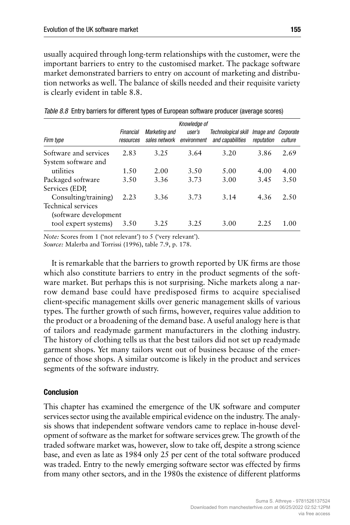usually acquired through long-term relationships with the customer, were the important barriers to entry to the customised market. The package software market demonstrated barriers to entry on account of marketing and distribution networks as well. The balance of skills needed and their requisite variety is clearly evident in table 8.8.

| <b>Firm type</b>      | Financial<br>resources | Marketing and<br>sales network | Knowledae of<br>user's<br>environment | Technological skill<br>and capabilities | Image and Corporate<br>reputation | culture |
|-----------------------|------------------------|--------------------------------|---------------------------------------|-----------------------------------------|-----------------------------------|---------|
| Software and services | 2.83                   | 3.25                           | 3.64                                  | 3.20                                    | 3.86                              | 2.69    |
| System software and   |                        |                                |                                       |                                         |                                   |         |
| utilities             | 1.50                   | 2.00                           | 3.50                                  | 5.00                                    | 4.00                              | 4.00    |
| Packaged software     | 3.50                   | 3.36                           | 3.73                                  | 3.00                                    | 3.45                              | 3.50    |
| Services (EDP,        |                        |                                |                                       |                                         |                                   |         |
| Consulting/training)  | 2.23                   | 3.36                           | 3.73                                  | 3.14                                    | 4.36                              | 2.50    |
| Technical services    |                        |                                |                                       |                                         |                                   |         |
| (software development |                        |                                |                                       |                                         |                                   |         |
| tool expert systems)  | 3.50                   | 3.25                           | 3.25                                  | 3.00                                    | 2.25                              | 1.00    |

*Table 8.8* Entry barriers for different types of European software producer (average scores)

*Note:* Scores from 1 ('not relevant') to 5 ('very relevant'). *Source:* Malerba and Torrissi (1996), table 7.9, p. 178.

It is remarkable that the barriers to growth reported by UK firms are those which also constitute barriers to entry in the product segments of the software market. But perhaps this is not surprising. Niche markets along a narrow demand base could have predisposed firms to acquire specialised client-specific management skills over generic management skills of various types. The further growth of such firms, however, requires value addition to the product or a broadening of the demand base. A useful analogy here is that of tailors and readymade garment manufacturers in the clothing industry. The history of clothing tells us that the best tailors did not set up readymade garment shops. Yet many tailors went out of business because of the emergence of those shops. A similar outcome is likely in the product and services segments of the software industry.

# **Conclusion**

This chapter has examined the emergence of the UK software and computer services sector using the available empirical evidence on the industry. The analysis shows that independent software vendors came to replace in-house development of software as the market for software services grew. The growth of the traded software market was, however, slow to take off, despite a strong science base, and even as late as 1984 only 25 per cent of the total software produced was traded. Entry to the newly emerging software sector was effected by firms from many other sectors, and in the 1980s the existence of different platforms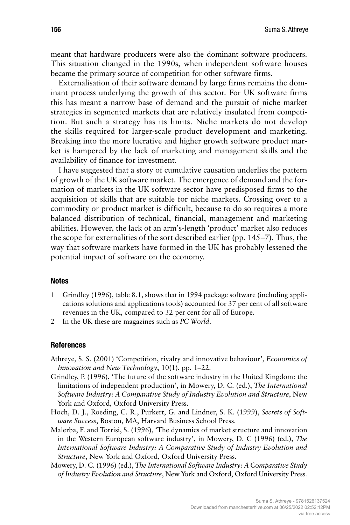meant that hardware producers were also the dominant software producers. This situation changed in the 1990s, when independent software houses became the primary source of competition for other software firms.

Externalisation of their software demand by large firms remains the dominant process underlying the growth of this sector. For UK software firms this has meant a narrow base of demand and the pursuit of niche market strategies in segmented markets that are relatively insulated from competition. But such a strategy has its limits. Niche markets do not develop the skills required for larger-scale product development and marketing. Breaking into the more lucrative and higher growth software product market is hampered by the lack of marketing and management skills and the availability of finance for investment.

I have suggested that a story of cumulative causation underlies the pattern of growth of the UK software market. The emergence of demand and the formation of markets in the UK software sector have predisposed firms to the acquisition of skills that are suitable for niche markets. Crossing over to a commodity or product market is difficult, because to do so requires a more balanced distribution of technical, financial, management and marketing abilities. However, the lack of an arm's-length 'product' market also reduces the scope for externalities of the sort described earlier (pp. 145–7). Thus, the way that software markets have formed in the UK has probably lessened the potential impact of software on the economy.

#### **Notes**

- 1 Grindley (1996), table 8.1, shows that in 1994 package software (including applications solutions and applications tools) accounted for 37 per cent of all software revenues in the UK, compared to 32 per cent for all of Europe.
- 2 In the UK these are magazines such as *PC World*.

#### **References**

- Athreye, S. S. (2001) 'Competition, rivalry and innovative behaviour', *Economics of Innovation and New Technology*, 10(1), pp. 1–22.
- Grindley, P. (1996), 'The future of the software industry in the United Kingdom: the limitations of independent production', in Mowery, D. C. (ed.), *The International Software Industry: A Comparative Study of Industry Evolution and Structure*, New York and Oxford, Oxford University Press.
- Hoch, D. J., Roeding, C. R., Purkert, G. and Lindner, S. K. (1999), *Secrets of Software Success*, Boston, MA, Harvard Business School Press.
- Malerba, F. and Torrisi, S. (1996), 'The dynamics of market structure and innovation in the Western European software industry', in Mowery, D. C (1996) (ed.), *The International Software Industry: A Comparative Study of Industry Evolution and Structure*, New York and Oxford, Oxford University Press.
- Mowery, D. C. (1996) (ed.), *The International Software Industry: A Comparative Study of Industry Evolution and Structure*, New York and Oxford, Oxford University Press.